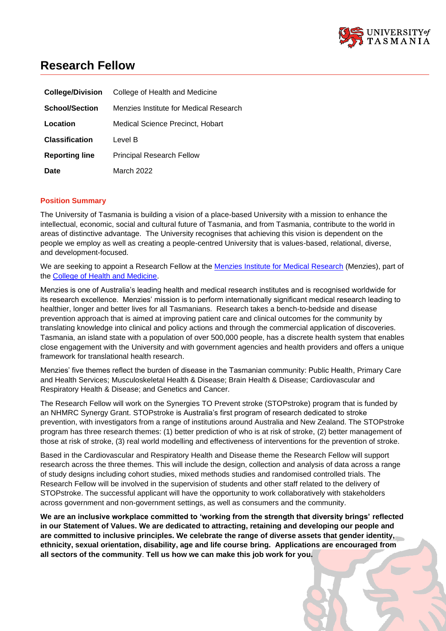

# **Research Fellow**

| <b>College/Division</b> | College of Health and Medicine         |
|-------------------------|----------------------------------------|
| <b>School/Section</b>   | Menzies Institute for Medical Research |
| Location                | Medical Science Precinct, Hobart       |
| <b>Classification</b>   | Level B                                |
| <b>Reporting line</b>   | <b>Principal Research Fellow</b>       |
| Date                    | March 2022                             |

## **Position Summary**

The University of Tasmania is building a vision of a place-based University with a mission to enhance the intellectual, economic, social and cultural future of Tasmania, and from Tasmania, contribute to the world in areas of distinctive advantage. The University recognises that achieving this vision is dependent on the people we employ as well as creating a people-centred University that is values-based, relational, diverse, and development-focused.

We are seeking to appoint a Research Fellow at the [Menzies Institute for Medical Research](http://www.menzies.utas.edu.au/) (Menzies), part of the [College of Health and Medicine.](https://www.utas.edu.au/health)

Menzies is one of Australia's leading health and medical research institutes and is recognised worldwide for its research excellence. Menzies' mission is to perform internationally significant medical research leading to healthier, longer and better lives for all Tasmanians. Research takes a bench-to-bedside and disease prevention approach that is aimed at improving patient care and clinical outcomes for the community by translating knowledge into clinical and policy actions and through the commercial application of discoveries. Tasmania, an island state with a population of over 500,000 people, has a discrete health system that enables close engagement with the University and with government agencies and health providers and offers a unique framework for translational health research.

Menzies' five themes reflect the burden of disease in the Tasmanian community: Public Health, Primary Care and Health Services; Musculoskeletal Health & Disease; Brain Health & Disease; Cardiovascular and Respiratory Health & Disease; and Genetics and Cancer.

The Research Fellow will work on the Synergies TO Prevent stroke (STOPstroke) program that is funded by an NHMRC Synergy Grant. STOPstroke is Australia's first program of research dedicated to stroke prevention, with investigators from a range of institutions around Australia and New Zealand. The STOPstroke program has three research themes: (1) better prediction of who is at risk of stroke, (2) better management of those at risk of stroke, (3) real world modelling and effectiveness of interventions for the prevention of stroke.

Based in the Cardiovascular and Respiratory Health and Disease theme the Research Fellow will support research across the three themes. This will include the design, collection and analysis of data across a range of study designs including cohort studies, mixed methods studies and randomised controlled trials. The Research Fellow will be involved in the supervision of students and other staff related to the delivery of STOPstroke. The successful applicant will have the opportunity to work collaboratively with stakeholders across government and non-government settings, as well as consumers and the community.

**We are an inclusive workplace committed to 'working from the strength that diversity brings' reflected in our Statement of Values. We are dedicated to attracting, retaining and developing our people and are committed to inclusive principles. We celebrate the range of diverse assets that gender identity, ethnicity, sexual orientation, disability, age and life course bring. Applications are encouraged from all sectors of the community**. **Tell us how we can make this job work for you.**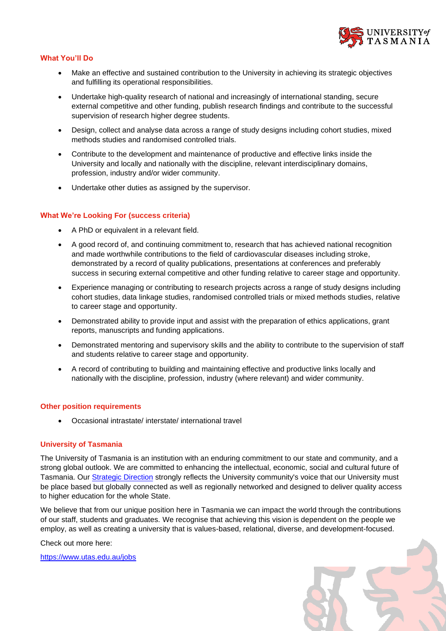

# **What You'll Do**

- Make an effective and sustained contribution to the University in achieving its strategic objectives and fulfilling its operational responsibilities.
- Undertake high-quality research of national and increasingly of international standing, secure external competitive and other funding, publish research findings and contribute to the successful supervision of research higher degree students.
- Design, collect and analyse data across a range of study designs including cohort studies, mixed methods studies and randomised controlled trials.
- Contribute to the development and maintenance of productive and effective links inside the University and locally and nationally with the discipline, relevant interdisciplinary domains, profession, industry and/or wider community.
- Undertake other duties as assigned by the supervisor.

#### **What We're Looking For (success criteria)**

- A PhD or equivalent in a relevant field.
- A good record of, and continuing commitment to, research that has achieved national recognition and made worthwhile contributions to the field of cardiovascular diseases including stroke, demonstrated by a record of quality publications, presentations at conferences and preferably success in securing external competitive and other funding relative to career stage and opportunity.
- Experience managing or contributing to research projects across a range of study designs including cohort studies, data linkage studies, randomised controlled trials or mixed methods studies, relative to career stage and opportunity.
- Demonstrated ability to provide input and assist with the preparation of ethics applications, grant reports, manuscripts and funding applications.
- Demonstrated mentoring and supervisory skills and the ability to contribute to the supervision of staff and students relative to career stage and opportunity.
- A record of contributing to building and maintaining effective and productive links locally and nationally with the discipline, profession, industry (where relevant) and wider community.

#### **Other position requirements**

• Occasional intrastate/ interstate/ international travel

## **University of Tasmania**

The University of Tasmania is an institution with an enduring commitment to our state and community, and a strong global outlook. We are committed to enhancing the intellectual, economic, social and cultural future of Tasmania. Our [Strategic Direction](https://www.utas.edu.au/vc/strategic-direction) strongly reflects the University community's voice that our University must be place based but globally connected as well as regionally networked and designed to deliver quality access to higher education for the whole State.

We believe that from our unique position here in Tasmania we can impact the world through the contributions of our staff, students and graduates. We recognise that achieving this vision is dependent on the people we employ, as well as creating a university that is values-based, relational, diverse, and development-focused.

Check out more here:

<https://www.utas.edu.au/jobs>